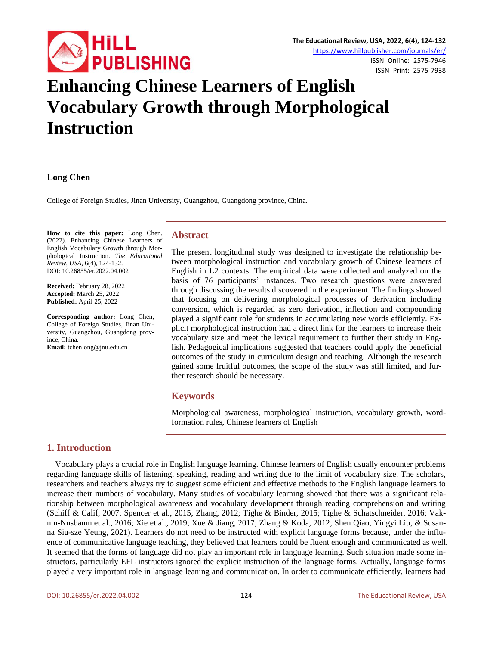

# **Enhancing Chinese Learners of English Vocabulary Growth through Morphological Instruction**

#### **Long Chen**

College of Foreign Studies, Jinan University, Guangzhou, Guangdong province, China.

**How to cite this paper:** Long Chen. (2022). Enhancing Chinese Learners of English Vocabulary Growth through Morphological Instruction. *The Educational Review, USA*, 6(4), 124-132. DOI: 10.26855/er.2022.04.002

**Received:** February 28, 2022 **Accepted:** March 25, 2022 **Published:** April 25, 2022

**Corresponding author:** Long Chen, College of Foreign Studies, Jinan University, Guangzhou, Guangdong province, China.

**Email:** tchenlong@jnu.edu.cn

### **Abstract**

The present longitudinal study was designed to investigate the relationship between morphological instruction and vocabulary growth of Chinese learners of English in L2 contexts. The empirical data were collected and analyzed on the basis of 76 participants' instances. Two research questions were answered through discussing the results discovered in the experiment. The findings showed that focusing on delivering morphological processes of derivation including conversion, which is regarded as zero derivation, inflection and compounding played a significant role for students in accumulating new words efficiently. Explicit morphological instruction had a direct link for the learners to increase their vocabulary size and meet the lexical requirement to further their study in English. Pedagogical implications suggested that teachers could apply the beneficial outcomes of the study in curriculum design and teaching. Although the research gained some fruitful outcomes, the scope of the study was still limited, and further research should be necessary.

# **Keywords**

Morphological awareness, morphological instruction, vocabulary growth, wordformation rules, Chinese learners of English

# **1. Introduction**

Vocabulary plays a crucial role in English language learning. Chinese learners of English usually encounter problems regarding language skills of listening, speaking, reading and writing due to the limit of vocabulary size. The scholars, researchers and teachers always try to suggest some efficient and effective methods to the English language learners to increase their numbers of vocabulary. Many studies of vocabulary learning showed that there was a significant relationship between morphological awareness and vocabulary development through reading comprehension and writing (Schiff & Calif, 2007; Spencer et al., 2015; Zhang, 2012; Tighe & Binder, 2015; Tighe & Schatschneider, 2016; Vaknin-Nusbaum et al., 2016; Xie et al., 2019; Xue & Jiang, 2017; Zhang & Koda, 2012; Shen Qiao, Yingyi Liu, & Susanna Siu-sze Yeung, 2021). Learners do not need to be instructed with explicit language forms because, under the influence of communicative language teaching, they believed that learners could be fluent enough and communicated as well. It seemed that the forms of language did not play an important role in language learning. Such situation made some instructors, particularly EFL instructors ignored the explicit instruction of the language forms. Actually, language forms played a very important role in language leaning and communication. In order to communicate efficiently, learners had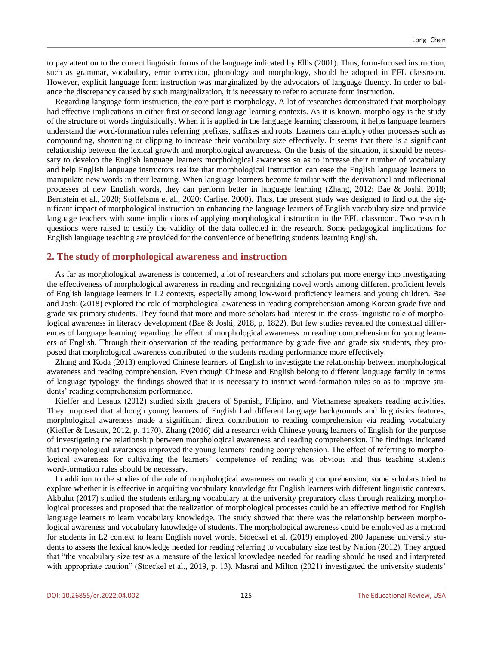to pay attention to the correct linguistic forms of the language indicated by Ellis (2001). Thus, form-focused instruction, such as grammar, vocabulary, error correction, phonology and morphology, should be adopted in EFL classroom. However, explicit language form instruction was marginalized by the advocators of language fluency. In order to balance the discrepancy caused by such marginalization, it is necessary to refer to accurate form instruction.

Regarding language form instruction, the core part is morphology. A lot of researches demonstrated that morphology had effective implications in either first or second language learning contexts. As it is known, morphology is the study of the structure of words linguistically. When it is applied in the language learning classroom, it helps language learners understand the word-formation rules referring prefixes, suffixes and roots. Learners can employ other processes such as compounding, shortening or clipping to increase their vocabulary size effectively. It seems that there is a significant relationship between the lexical growth and morphological awareness. On the basis of the situation, it should be necessary to develop the English language learners morphological awareness so as to increase their number of vocabulary and help English language instructors realize that morphological instruction can ease the English language learners to manipulate new words in their learning. When language learners become familiar with the derivational and inflectional processes of new English words, they can perform better in language learning (Zhang, 2012; Bae & Joshi, 2018; Bernstein et al., 2020; Stoffelsma et al., 2020; Carlise, 2000). Thus, the present study was designed to find out the significant impact of morphological instruction on enhancing the language learners of English vocabulary size and provide language teachers with some implications of applying morphological instruction in the EFL classroom. Two research questions were raised to testify the validity of the data collected in the research. Some pedagogical implications for English language teaching are provided for the convenience of benefiting students learning English.

### **2. The study of morphological awareness and instruction**

As far as morphological awareness is concerned, a lot of researchers and scholars put more energy into investigating the effectiveness of morphological awareness in reading and recognizing novel words among different proficient levels of English language learners in L2 contexts, especially among low-word proficiency learners and young children. Bae and Joshi (2018) explored the role of morphological awareness in reading comprehension among Korean grade five and grade six primary students. They found that more and more scholars had interest in the cross-linguistic role of morphological awareness in literacy development (Bae & Joshi, 2018, p. 1822). But few studies revealed the contextual differences of language learning regarding the effect of morphological awareness on reading comprehension for young learners of English. Through their observation of the reading performance by grade five and grade six students, they proposed that morphological awareness contributed to the students reading performance more effectively.

Zhang and Koda (2013) employed Chinese learners of English to investigate the relationship between morphological awareness and reading comprehension. Even though Chinese and English belong to different language family in terms of language typology, the findings showed that it is necessary to instruct word-formation rules so as to improve students' reading comprehension performance.

Kieffer and Lesaux (2012) studied sixth graders of Spanish, Filipino, and Vietnamese speakers reading activities. They proposed that although young learners of English had different language backgrounds and linguistics features, morphological awareness made a significant direct contribution to reading comprehension via reading vocabulary (Kieffer & Lesaux, 2012, p. 1170). Zhang (2016) did a research with Chinese young learners of English for the purpose of investigating the relationship between morphological awareness and reading comprehension. The findings indicated that morphological awareness improved the young learners' reading comprehension. The effect of referring to morphological awareness for cultivating the learners' competence of reading was obvious and thus teaching students word-formation rules should be necessary.

In addition to the studies of the role of morphological awareness on reading comprehension, some scholars tried to explore whether it is effective in acquiring vocabulary knowledge for English learners with different linguistic contexts. Akbulut (2017) studied the students enlarging vocabulary at the university preparatory class through realizing morphological processes and proposed that the realization of morphological processes could be an effective method for English language learners to learn vocabulary knowledge. The study showed that there was the relationship between morphological awareness and vocabulary knowledge of students. The morphological awareness could be employed as a method for students in L2 context to learn English novel words. Stoeckel et al. (2019) employed 200 Japanese university students to assess the lexical knowledge needed for reading referring to vocabulary size test by Nation (2012). They argued that "the vocabulary size test as a measure of the lexical knowledge needed for reading should be used and interpreted with appropriate caution" (Stoeckel et al., 2019, p. 13). Masrai and Milton (2021) investigated the university students'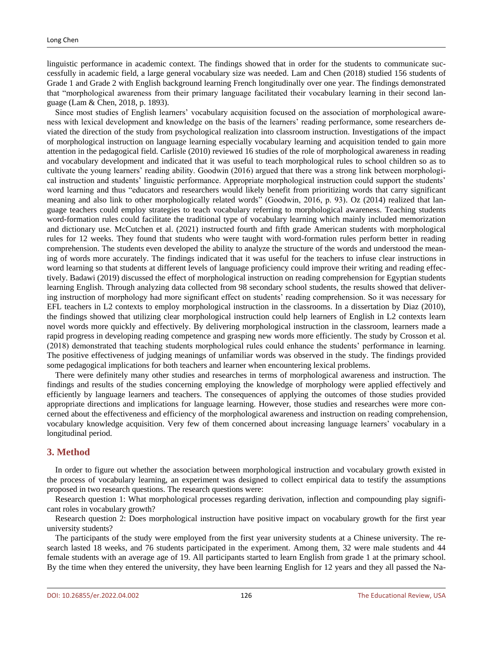linguistic performance in academic context. The findings showed that in order for the students to communicate successfully in academic field, a large general vocabulary size was needed. Lam and Chen (2018) studied 156 students of Grade 1 and Grade 2 with English background learning French longitudinally over one year. The findings demonstrated that "morphological awareness from their primary language facilitated their vocabulary learning in their second language (Lam & Chen, 2018, p. 1893).

Since most studies of English learners' vocabulary acquisition focused on the association of morphological awareness with lexical development and knowledge on the basis of the learners' reading performance, some researchers deviated the direction of the study from psychological realization into classroom instruction. Investigations of the impact of morphological instruction on language learning especially vocabulary learning and acquisition tended to gain more attention in the pedagogical field. Carlisle (2010) reviewed 16 studies of the role of morphological awareness in reading and vocabulary development and indicated that it was useful to teach morphological rules to school children so as to cultivate the young learners' reading ability. Goodwin (2016) argued that there was a strong link between morphological instruction and students' linguistic performance. Appropriate morphological instruction could support the students' word learning and thus "educators and researchers would likely benefit from prioritizing words that carry significant meaning and also link to other morphologically related words" (Goodwin, 2016, p. 93). Oz (2014) realized that language teachers could employ strategies to teach vocabulary referring to morphological awareness. Teaching students word-formation rules could facilitate the traditional type of vocabulary learning which mainly included memorization and dictionary use. McCutchen et al. (2021) instructed fourth and fifth grade American students with morphological rules for 12 weeks. They found that students who were taught with word-formation rules perform better in reading comprehension. The students even developed the ability to analyze the structure of the words and understood the meaning of words more accurately. The findings indicated that it was useful for the teachers to infuse clear instructions in word learning so that students at different levels of language proficiency could improve their writing and reading effectively. Badawi (2019) discussed the effect of morphological instruction on reading comprehension for Egyptian students learning English. Through analyzing data collected from 98 secondary school students, the results showed that delivering instruction of morphology had more significant effect on students' reading comprehension. So it was necessary for EFL teachers in L2 contexts to employ morphological instruction in the classrooms. In a dissertation by Diaz (2010), the findings showed that utilizing clear morphological instruction could help learners of English in L2 contexts learn novel words more quickly and effectively. By delivering morphological instruction in the classroom, learners made a rapid progress in developing reading competence and grasping new words more efficiently. The study by Crosson et al. (2018) demonstrated that teaching students morphological rules could enhance the students' performance in learning. The positive effectiveness of judging meanings of unfamiliar words was observed in the study. The findings provided some pedagogical implications for both teachers and learner when encountering lexical problems.

There were definitely many other studies and researches in terms of morphological awareness and instruction. The findings and results of the studies concerning employing the knowledge of morphology were applied effectively and efficiently by language learners and teachers. The consequences of applying the outcomes of those studies provided appropriate directions and implications for language learning. However, those studies and researches were more concerned about the effectiveness and efficiency of the morphological awareness and instruction on reading comprehension, vocabulary knowledge acquisition. Very few of them concerned about increasing language learners' vocabulary in a longitudinal period.

#### **3. Method**

In order to figure out whether the association between morphological instruction and vocabulary growth existed in the process of vocabulary learning, an experiment was designed to collect empirical data to testify the assumptions proposed in two research questions. The research questions were:

Research question 1: What morphological processes regarding derivation, inflection and compounding play significant roles in vocabulary growth?

Research question 2: Does morphological instruction have positive impact on vocabulary growth for the first year university students?

The participants of the study were employed from the first year university students at a Chinese university. The research lasted 18 weeks, and 76 students participated in the experiment. Among them, 32 were male students and 44 female students with an average age of 19. All participants started to learn English from grade 1 at the primary school. By the time when they entered the university, they have been learning English for 12 years and they all passed the Na-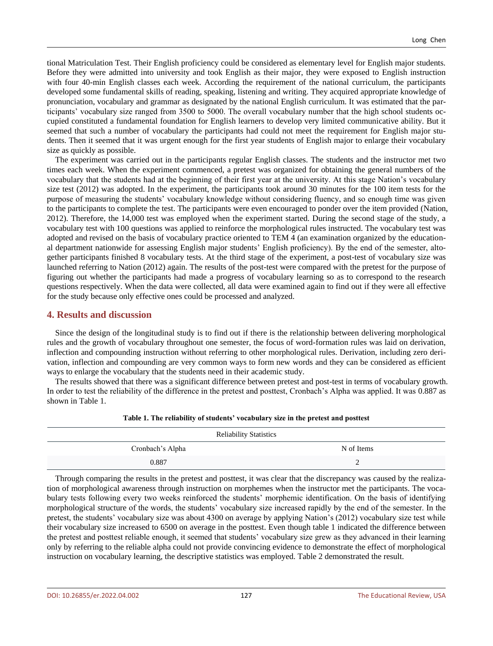tional Matriculation Test. Their English proficiency could be considered as elementary level for English major students. Before they were admitted into university and took English as their major, they were exposed to English instruction with four 40-min English classes each week. According the requirement of the national curriculum, the participants developed some fundamental skills of reading, speaking, listening and writing. They acquired appropriate knowledge of pronunciation, vocabulary and grammar as designated by the national English curriculum. It was estimated that the participants' vocabulary size ranged from 3500 to 5000. The overall vocabulary number that the high school students occupied constituted a fundamental foundation for English learners to develop very limited communicative ability. But it seemed that such a number of vocabulary the participants had could not meet the requirement for English major students. Then it seemed that it was urgent enough for the first year students of English major to enlarge their vocabulary size as quickly as possible.

The experiment was carried out in the participants regular English classes. The students and the instructor met two times each week. When the experiment commenced, a pretest was organized for obtaining the general numbers of the vocabulary that the students had at the beginning of their first year at the university. At this stage Nation's vocabulary size test (2012) was adopted. In the experiment, the participants took around 30 minutes for the 100 item tests for the purpose of measuring the students' vocabulary knowledge without considering fluency, and so enough time was given to the participants to complete the test. The participants were even encouraged to ponder over the item provided (Nation, 2012). Therefore, the 14,000 test was employed when the experiment started. During the second stage of the study, a vocabulary test with 100 questions was applied to reinforce the morphological rules instructed. The vocabulary test was adopted and revised on the basis of vocabulary practice oriented to TEM 4 (an examination organized by the educational department nationwide for assessing English major students' English proficiency). By the end of the semester, altogether participants finished 8 vocabulary tests. At the third stage of the experiment, a post-test of vocabulary size was launched referring to Nation (2012) again. The results of the post-test were compared with the pretest for the purpose of figuring out whether the participants had made a progress of vocabulary learning so as to correspond to the research questions respectively. When the data were collected, all data were examined again to find out if they were all effective for the study because only effective ones could be processed and analyzed.

### **4. Results and discussion**

Since the design of the longitudinal study is to find out if there is the relationship between delivering morphological rules and the growth of vocabulary throughout one semester, the focus of word-formation rules was laid on derivation, inflection and compounding instruction without referring to other morphological rules. Derivation, including zero derivation, inflection and compounding are very common ways to form new words and they can be considered as efficient ways to enlarge the vocabulary that the students need in their academic study.

The results showed that there was a significant difference between pretest and post-test in terms of vocabulary growth. In order to test the reliability of the difference in the pretest and posttest, Cronbach's Alpha was applied. It was 0.887 as shown in Table 1.

| <b>Reliability Statistics</b> |            |  |  |  |
|-------------------------------|------------|--|--|--|
| Cronbach's Alpha              | N of Items |  |  |  |
| 0.887                         | -          |  |  |  |

Through comparing the results in the pretest and posttest, it was clear that the discrepancy was caused by the realization of morphological awareness through instruction on morphemes when the instructor met the participants. The vocabulary tests following every two weeks reinforced the students' morphemic identification. On the basis of identifying morphological structure of the words, the students' vocabulary size increased rapidly by the end of the semester. In the pretest, the students' vocabulary size was about 4300 on average by applying Nation's (2012) vocabulary size test while their vocabulary size increased to 6500 on average in the posttest. Even though table 1 indicated the difference between the pretest and posttest reliable enough, it seemed that students' vocabulary size grew as they advanced in their learning only by referring to the reliable alpha could not provide convincing evidence to demonstrate the effect of morphological instruction on vocabulary learning, the descriptive statistics was employed. Table 2 demonstrated the result.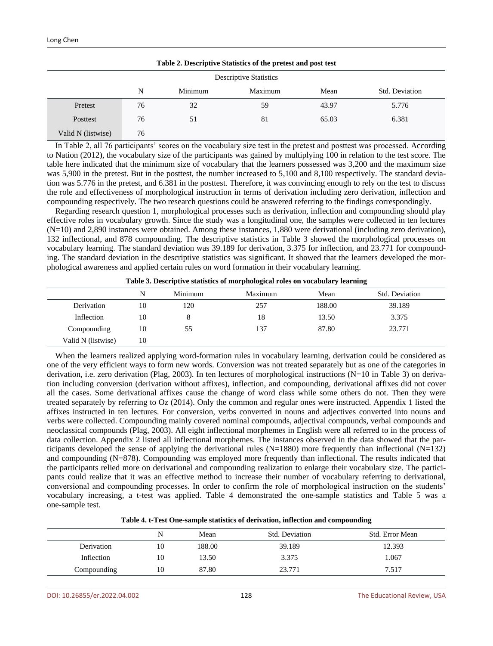| Table 2. Descriptive Statistics of the pretest and post test |    |         |         |       |                |
|--------------------------------------------------------------|----|---------|---------|-------|----------------|
| <b>Descriptive Statistics</b>                                |    |         |         |       |                |
|                                                              | N  | Minimum | Maximum | Mean  | Std. Deviation |
| Pretest                                                      | 76 | 32      | 59      | 43.97 | 5.776          |
| Posttest                                                     | 76 | 51      | 81      | 65.03 | 6.381          |
| Valid N (listwise)                                           | 76 |         |         |       |                |

In Table 2, all 76 participants' scores on the vocabulary size test in the pretest and posttest was processed. According to Nation (2012), the vocabulary size of the participants was gained by multiplying 100 in relation to the test score. The table here indicated that the minimum size of vocabulary that the learners possessed was 3,200 and the maximum size was 5,900 in the pretest. But in the posttest, the number increased to 5,100 and 8,100 respectively. The standard deviation was 5.776 in the pretest, and 6.381 in the posttest. Therefore, it was convincing enough to rely on the test to discuss the role and effectiveness of morphological instruction in terms of derivation including zero derivation, inflection and compounding respectively. The two research questions could be answered referring to the findings correspondingly.

Regarding research question 1, morphological processes such as derivation, inflection and compounding should play effective roles in vocabulary growth. Since the study was a longitudinal one, the samples were collected in ten lectures (N=10) and 2,890 instances were obtained. Among these instances, 1,880 were derivational (including zero derivation), 132 inflectional, and 878 compounding. The descriptive statistics in Table 3 showed the morphological processes on vocabulary learning. The standard deviation was 39.189 for derivation, 3.375 for inflection, and 23.771 for compounding. The standard deviation in the descriptive statistics was significant. It showed that the learners developed the morphological awareness and applied certain rules on word formation in their vocabulary learning.

|                    | N  | Minimum | Maximum | Mean   | Std. Deviation |
|--------------------|----|---------|---------|--------|----------------|
| Derivation         | 10 | 120     | 257     | 188.00 | 39.189         |
| Inflection         | 10 |         | 18      | 13.50  | 3.375          |
| Compounding        | 10 | 55      | 137     | 87.80  | 23.771         |
| Valid N (listwise) | 10 |         |         |        |                |

**Table 3. Descriptive statistics of morphological roles on vocabulary learning**

When the learners realized applying word-formation rules in vocabulary learning, derivation could be considered as one of the very efficient ways to form new words. Conversion was not treated separately but as one of the categories in derivation, i.e. zero derivation (Plag, 2003). In ten lectures of morphological instructions (N=10 in Table 3) on derivation including conversion (derivation without affixes), inflection, and compounding, derivational affixes did not cover all the cases. Some derivational affixes cause the change of word class while some others do not. Then they were treated separately by referring to Oz (2014). Only the common and regular ones were instructed. Appendix 1 listed the affixes instructed in ten lectures. For conversion, verbs converted in nouns and adjectives converted into nouns and verbs were collected. Compounding mainly covered nominal compounds, adjectival compounds, verbal compounds and neoclassical compounds (Plag, 2003). All eight inflectional morphemes in English were all referred to in the process of data collection. Appendix 2 listed all inflectional morphemes. The instances observed in the data showed that the participants developed the sense of applying the derivational rules (N=1880) more frequently than inflectional (N=132) and compounding (N=878). Compounding was employed more frequently than inflectional. The results indicated that the participants relied more on derivational and compounding realization to enlarge their vocabulary size. The participants could realize that it was an effective method to increase their number of vocabulary referring to derivational, conversional and compounding processes. In order to confirm the role of morphological instruction on the students' vocabulary increasing, a t-test was applied. Table 4 demonstrated the one-sample statistics and Table 5 was a one-sample test.

| Table 4. t-Test One-sample statistics of derivation, inflection and compounding |  |
|---------------------------------------------------------------------------------|--|
|---------------------------------------------------------------------------------|--|

|             | N  | Mean   | Std. Deviation | Std. Error Mean |
|-------------|----|--------|----------------|-----------------|
| Derivation  | 10 | 188.00 | 39.189         | 12.393          |
| Inflection  | 10 | 13.50  | 3.375          | 1.067           |
| Compounding | 10 | 87.80  | 23.771         | 7.517           |
|             |    |        |                |                 |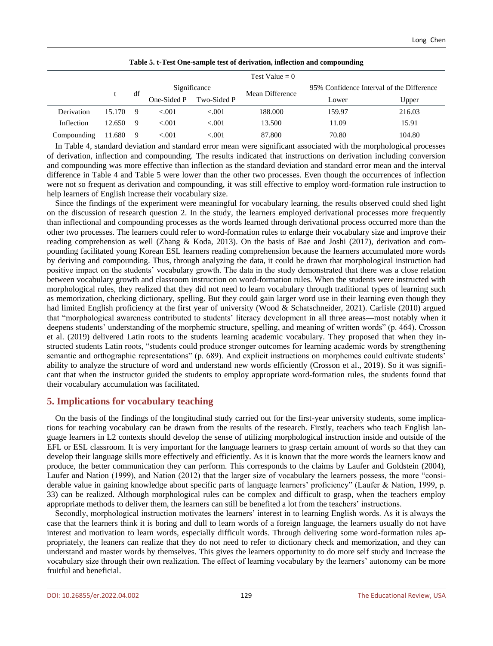|             |        |             |             |              | Test Value $= 0$ |                                           |        |
|-------------|--------|-------------|-------------|--------------|------------------|-------------------------------------------|--------|
|             |        | df          |             | Significance | Mean Difference  | 95% Confidence Interval of the Difference |        |
|             |        | One-Sided P | Two-Sided P | Lower        |                  | Upper                                     |        |
| Derivation  | 15.170 | 9           | < 0.01      | < 0.001      | 188.000          | 159.97                                    | 216.03 |
| Inflection  | 12.650 | 9           | < 0.01      | < 0.01       | 13.500           | 11.09                                     | 15.91  |
| Compounding | 11.680 | -9          | < 0.001     | < 0.001      | 87.800           | 70.80                                     | 104.80 |

| Table 5. t-Test One-sample test of derivation, inflection and compounding |  |  |
|---------------------------------------------------------------------------|--|--|
|                                                                           |  |  |

In Table 4, standard deviation and standard error mean were significant associated with the morphological processes of derivation, inflection and compounding. The results indicated that instructions on derivation including conversion and compounding was more effective than inflection as the standard deviation and standard error mean and the interval difference in Table 4 and Table 5 were lower than the other two processes. Even though the occurrences of inflection were not so frequent as derivation and compounding, it was still effective to employ word-formation rule instruction to help learners of English increase their vocabulary size.

Since the findings of the experiment were meaningful for vocabulary learning, the results observed could shed light on the discussion of research question 2. In the study, the learners employed derivational processes more frequently than inflectional and compounding processes as the words learned through derivational process occurred more than the other two processes. The learners could refer to word-formation rules to enlarge their vocabulary size and improve their reading comprehension as well (Zhang & Koda, 2013). On the basis of Bae and Joshi (2017), derivation and compounding facilitated young Korean ESL learners reading comprehension because the learners accumulated more words by deriving and compounding. Thus, through analyzing the data, it could be drawn that morphological instruction had positive impact on the students' vocabulary growth. The data in the study demonstrated that there was a close relation between vocabulary growth and classroom instruction on word-formation rules. When the students were instructed with morphological rules, they realized that they did not need to learn vocabulary through traditional types of learning such as memorization, checking dictionary, spelling. But they could gain larger word use in their learning even though they had limited English proficiency at the first year of university (Wood & Schatschneider, 2021). Carlisle (2010) argued that "morphological awareness contributed to students' literacy development in all three areas—most notably when it deepens students' understanding of the morphemic structure, spelling, and meaning of written words" (p. 464). Crosson et al. (2019) delivered Latin roots to the students learning academic vocabulary. They proposed that when they instructed students Latin roots, "students could produce stronger outcomes for learning academic words by strengthening semantic and orthographic representations" (p. 689). And explicit instructions on morphemes could cultivate students' ability to analyze the structure of word and understand new words efficiently (Crosson et al., 2019). So it was significant that when the instructor guided the students to employ appropriate word-formation rules, the students found that their vocabulary accumulation was facilitated.

# **5. Implications for vocabulary teaching**

On the basis of the findings of the longitudinal study carried out for the first-year university students, some implications for teaching vocabulary can be drawn from the results of the research. Firstly, teachers who teach English language learners in L2 contexts should develop the sense of utilizing morphological instruction inside and outside of the EFL or ESL classroom. It is very important for the language learners to grasp certain amount of words so that they can develop their language skills more effectively and efficiently. As it is known that the more words the learners know and produce, the better communication they can perform. This corresponds to the claims by Laufer and Goldstein (2004), Laufer and Nation (1999), and Nation (2012) that the larger size of vocabulary the learners possess, the more "considerable value in gaining knowledge about specific parts of language learners' proficiency" (Laufer & Nation, 1999, p. 33) can be realized. Although morphological rules can be complex and difficult to grasp, when the teachers employ appropriate methods to deliver them, the learners can still be benefited a lot from the teachers' instructions.

Secondly, morphological instruction motivates the learners' interest in to learning English words. As it is always the case that the learners think it is boring and dull to learn words of a foreign language, the learners usually do not have interest and motivation to learn words, especially difficult words. Through delivering some word-formation rules appropriately, the leaners can realize that they do not need to refer to dictionary check and memorization, and they can understand and master words by themselves. This gives the learners opportunity to do more self study and increase the vocabulary size through their own realization. The effect of learning vocabulary by the learners' autonomy can be more fruitful and beneficial.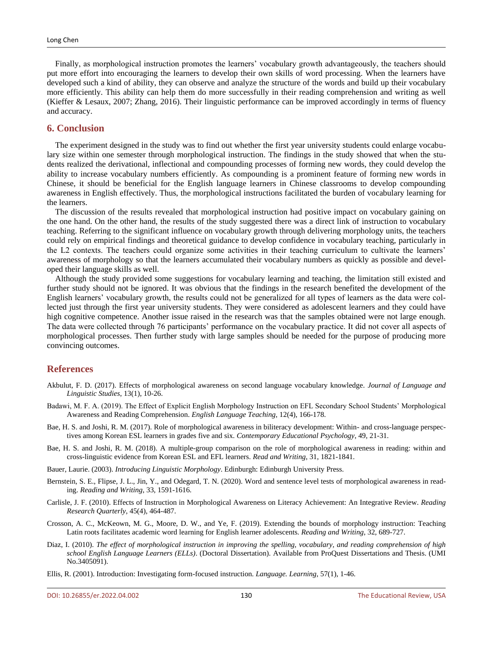Finally, as morphological instruction promotes the learners' vocabulary growth advantageously, the teachers should put more effort into encouraging the learners to develop their own skills of word processing. When the learners have developed such a kind of ability, they can observe and analyze the structure of the words and build up their vocabulary more efficiently. This ability can help them do more successfully in their reading comprehension and writing as well (Kieffer & Lesaux, 2007; Zhang, 2016). Their linguistic performance can be improved accordingly in terms of fluency and accuracy.

#### **6. Conclusion**

The experiment designed in the study was to find out whether the first year university students could enlarge vocabulary size within one semester through morphological instruction. The findings in the study showed that when the students realized the derivational, inflectional and compounding processes of forming new words, they could develop the ability to increase vocabulary numbers efficiently. As compounding is a prominent feature of forming new words in Chinese, it should be beneficial for the English language learners in Chinese classrooms to develop compounding awareness in English effectively. Thus, the morphological instructions facilitated the burden of vocabulary learning for the learners.

The discussion of the results revealed that morphological instruction had positive impact on vocabulary gaining on the one hand. On the other hand, the results of the study suggested there was a direct link of instruction to vocabulary teaching. Referring to the significant influence on vocabulary growth through delivering morphology units, the teachers could rely on empirical findings and theoretical guidance to develop confidence in vocabulary teaching, particularly in the L2 contexts. The teachers could organize some activities in their teaching curriculum to cultivate the learners' awareness of morphology so that the learners accumulated their vocabulary numbers as quickly as possible and developed their language skills as well.

Although the study provided some suggestions for vocabulary learning and teaching, the limitation still existed and further study should not be ignored. It was obvious that the findings in the research benefited the development of the English learners' vocabulary growth, the results could not be generalized for all types of learners as the data were collected just through the first year university students. They were considered as adolescent learners and they could have high cognitive competence. Another issue raised in the research was that the samples obtained were not large enough. The data were collected through 76 participants' performance on the vocabulary practice. It did not cover all aspects of morphological processes. Then further study with large samples should be needed for the purpose of producing more convincing outcomes.

#### **References**

- Akbulut, F. D. (2017). Effects of morphological awareness on second language vocabulary knowledge. *Journal of Language and Linguistic Studies*, 13(1), 10-26.
- Badawi, M. F. A. (2019). The Effect of Explicit English Morphology Instruction on EFL Secondary School Students' Morphological Awareness and Reading Comprehension. *English Language Teaching*, 12(4), 166-178.
- Bae, H. S. and Joshi, R. M. (2017). Role of morphological awareness in biliteracy development: Within- and cross-language perspectives among Korean ESL learners in grades five and six. *Contemporary Educational Psychology*, 49, 21-31.
- Bae, H. S. and Joshi, R. M. (2018). A multiple-group comparison on the role of morphological awareness in reading: within and cross-linguistic evidence from Korean ESL and EFL learners. *Read and Writing*, 31, 1821-1841.
- Bauer, Laurie. (2003). *Introducing Linguistic Morphology*. Edinburgh: Edinburgh University Press.
- Bernstein, S. E., Flipse, J. L., Jin, Y., and Odegard, T. N. (2020). Word and sentence level tests of morphological awareness in reading. *Reading and Writing*, 33, 1591-1616.
- Carlisle, J. F. (2010). Effects of Instruction in Morphological Awareness on Literacy Achievement: An Integrative Review. *Reading Research Quarterly*, 45(4), 464-487.
- Crosson, A. C., McKeown, M. G., Moore, D. W., and Ye, F. (2019). Extending the bounds of morphology instruction: Teaching Latin roots facilitates academic word learning for English learner adolescents. *Reading and Writing*, 32, 689-727.
- Diaz, I. (2010). *The effect of morphological instruction in improving the spelling, vocabulary, and reading comprehension of high school English Language Learners (ELLs)*. (Doctoral Dissertation). Available from ProQuest Dissertations and Thesis. (UMI No.3405091).
- Ellis, R. (2001). Introduction: Investigating form-focused instruction. *Language. Learning*, 57(1), 1-46.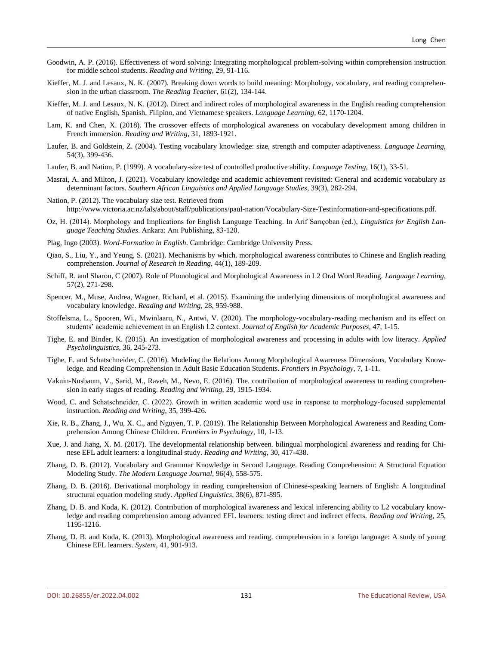- Goodwin, A. P. (2016). Effectiveness of word solving: Integrating morphological problem-solving within comprehension instruction for middle school students. *Reading and Writing*, 29, 91-116.
- Kieffer, M. J. and Lesaux, N. K. (2007). Breaking down words to build meaning: Morphology, vocabulary, and reading comprehension in the urban classroom. *The Reading Teacher*, 61(2), 134-144.
- Kieffer, M. J. and Lesaux, N. K. (2012). Direct and indirect roles of morphological awareness in the English reading comprehension of native English, Spanish, Filipino, and Vietnamese speakers. *Language Learning*, 62, 1170-1204.
- Lam, K. and Chen, X. (2018). The crossover effects of morphological awareness on vocabulary development among children in French immersion. *Reading and Writing*, 31, 1893-1921.
- Laufer, B. and Goldstein, Z. (2004). Testing vocabulary knowledge: size, strength and computer adaptiveness. *Language Learning*, 54(3), 399-436.
- Laufer, B. and Nation, P. (1999). A vocabulary-size test of controlled productive ability. *Language Testing*, 16(1), 33-51.
- Masrai, A. and Milton, J. (2021). Vocabulary knowledge and academic achievement revisited: General and academic vocabulary as determinant factors. *Southern African Linguistics and Applied Language Studies*, 39(3), 282-294.
- Nation, P. (2012). The vocabulary size test. Retrieved from http://www.victoria.ac.nz/lals/about/staff/publications/paul-nation/Vocabulary-Size-Testinformation-and-specifications.pdf.
- Oz, H. (2014). Morphology and Implications for English Language Teaching. In Arif Sarıçoban (ed.), *Linguistics for English Language Teaching Studies*. Ankara: Anı Publishing, 83-120.
- Plag, Ingo (2003). *Word-Formation in English*. Cambridge: Cambridge University Press.
- Qiao, S., Liu, Y., and Yeung, S. (2021). Mechanisms by which. morphological awareness contributes to Chinese and English reading comprehension. *Journal of Research in Reading*, 44(1), 189-209.
- Schiff, R. and Sharon, C (2007). Role of Phonological and Morphological Awareness in L2 Oral Word Reading. *Language Learning*, 57(2), 271-298.
- Spencer, M., Muse, Andrea, Wagner, Richard, et al. (2015). Examining the underlying dimensions of morphological awareness and vocabulary knowledge. *Reading and Writing*, 28, 959-988.
- Stoffelsma, L., Spooren, Wi., Mwinlaaru, N., Antwi, V. (2020). The morphology-vocabulary-reading mechanism and its effect on students' academic achievement in an English L2 context. *Journal of English for Academic Purposes*, 47, 1-15.
- Tighe, E. and Binder, K. (2015). An investigation of morphological awareness and processing in adults with low literacy. *Applied Psycholinguistics*, 36, 245-273.
- Tighe, E. and Schatschneider, C. (2016). Modeling the Relations Among Morphological Awareness Dimensions, Vocabulary Knowledge, and Reading Comprehension in Adult Basic Education Students. *Frontiers in Psychology*, 7, 1-11.
- Vaknin-Nusbaum, V., Sarid, M., Raveh, M., Nevo, E. (2016). The. contribution of morphological awareness to reading comprehension in early stages of reading. *Reading and Writing*, 29, 1915-1934.
- Wood, C. and Schatschneider, C. (2022). Growth in written academic word use in response to morphology-focused supplemental instruction. *Reading and Writing*, 35, 399-426.
- Xie, R. B., Zhang, J., Wu, X. C., and Nguyen, T. P. (2019). The Relationship Between Morphological Awareness and Reading Comprehension Among Chinese Children. *Frontiers in Psychology*, 10, 1-13.
- Xue, J. and Jiang, X. M. (2017). The developmental relationship between. bilingual morphological awareness and reading for Chinese EFL adult learners: a longitudinal study. *Reading and Writing*, 30, 417-438.
- Zhang, D. B. (2012). Vocabulary and Grammar Knowledge in Second Language. Reading Comprehension: A Structural Equation Modeling Study. *The Modern Language Journal*, 96(4), 558-575.
- Zhang, D. B. (2016). Derivational morphology in reading comprehension of Chinese-speaking learners of English: A longitudinal structural equation modeling study. *Applied Linguistics*, 38(6), 871-895.
- Zhang, D. B. and Koda, K. (2012). Contribution of morphological awareness and lexical inferencing ability to L2 vocabulary knowledge and reading comprehension among advanced EFL learners: testing direct and indirect effects. *Reading and Writin*g, 25, 1195-1216.
- Zhang, D. B. and Koda, K. (2013). Morphological awareness and reading. comprehension in a foreign language: A study of young Chinese EFL learners. *System*, 41, 901-913.